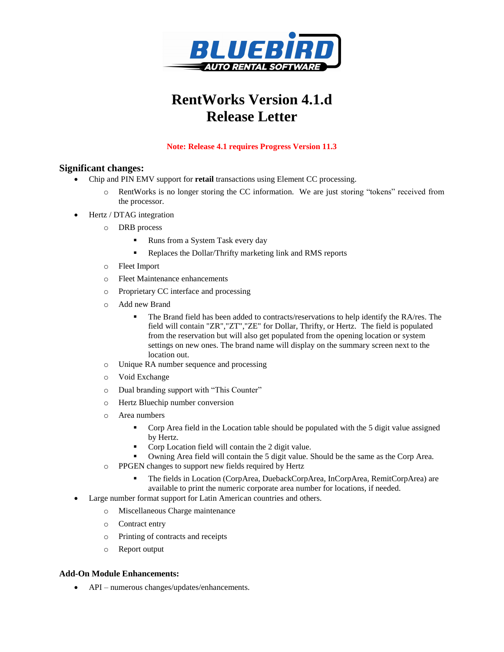

# **RentWorks Version 4.1.d Release Letter**

#### **Note: Release 4.1 requires Progress Version 11.3**

### **Significant changes:**

- Chip and PIN EMV support for **retail** transactions using Element CC processing.
	- o RentWorks is no longer storing the CC information. We are just storing "tokens" received from the processor.
	- Hertz / DTAG integration
		- o DRB process
			- Runs from a System Task every day
			- Replaces the Dollar/Thrifty marketing link and RMS reports
		- o Fleet Import
		- o Fleet Maintenance enhancements
		- o Proprietary CC interface and processing
		- o Add new Brand
			- The Brand field has been added to contracts/reservations to help identify the RA/res. The field will contain "ZR","ZT","ZE" for Dollar, Thrifty, or Hertz. The field is populated from the reservation but will also get populated from the opening location or system settings on new ones. The brand name will display on the summary screen next to the location out.
		- o Unique RA number sequence and processing
		- o Void Exchange
		- o Dual branding support with "This Counter"
		- o Hertz Bluechip number conversion
		- o Area numbers
			- Corp Area field in the Location table should be populated with the 5 digit value assigned by Hertz.
			- Corp Location field will contain the 2 digit value.
			- Owning Area field will contain the 5 digit value. Should be the same as the Corp Area.
		- o PPGEN changes to support new fields required by Hertz
			- The fields in Location (CorpArea, DuebackCorpArea, InCorpArea, RemitCorpArea) are available to print the numeric corporate area number for locations, if needed.
- Large number format support for Latin American countries and others.
	- o Miscellaneous Charge maintenance
	- o Contract entry
	- o Printing of contracts and receipts
	- o Report output

#### **Add-On Module Enhancements:**

• API – numerous changes/updates/enhancements.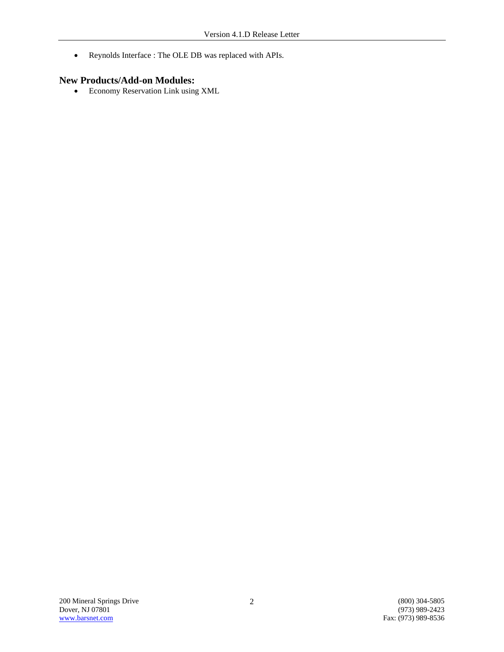Reynolds Interface : The OLE DB was replaced with APIs.

### **New Products/Add-on Modules:**

Economy Reservation Link using XML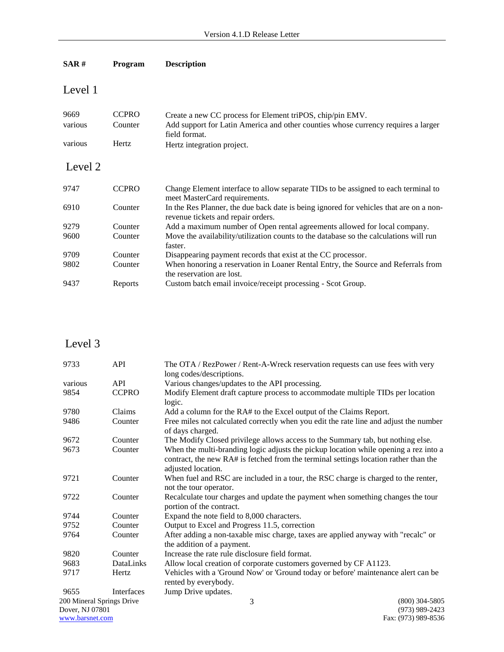| SAR#    | Program      | <b>Description</b>                                                                                                           |
|---------|--------------|------------------------------------------------------------------------------------------------------------------------------|
| Level 1 |              |                                                                                                                              |
| 9669    | <b>CCPRO</b> | Create a new CC process for Element triPOS, chip/pin EMV.                                                                    |
| various | Counter      | Add support for Latin America and other counties whose currency requires a larger<br>field format.                           |
| various | Hertz        | Hertz integration project.                                                                                                   |
| Level 2 |              |                                                                                                                              |
| 9747    | <b>CCPRO</b> | Change Element interface to allow separate TIDs to be assigned to each terminal to<br>meet MasterCard requirements.          |
| 6910    | Counter      | In the Res Planner, the due back date is being ignored for vehicles that are on a non-<br>revenue tickets and repair orders. |
| 9279    | Counter      | Add a maximum number of Open rental agreements allowed for local company.                                                    |
| 9600    | Counter      | Move the availability/utilization counts to the database so the calculations will run<br>faster.                             |
| 9709    | Counter      | Disappearing payment records that exist at the CC processor.                                                                 |
| 9802    | Counter      | When honoring a reservation in Loaner Rental Entry, the Source and Referrals from<br>the reservation are lost.               |
| 9437    | Reports      | Custom batch email invoice/receipt processing - Scot Group.                                                                  |
|         |              |                                                                                                                              |

## Level 3

| 9733                      | <b>API</b>   | The OTA / RezPower / Rent-A-Wreck reservation requests can use fees with very                                                                                                                      |  |
|---------------------------|--------------|----------------------------------------------------------------------------------------------------------------------------------------------------------------------------------------------------|--|
|                           |              | long codes/descriptions.                                                                                                                                                                           |  |
| various                   | <b>API</b>   | Various changes/updates to the API processing.                                                                                                                                                     |  |
| 9854                      | <b>CCPRO</b> | Modify Element draft capture process to accommodate multiple TIDs per location<br>logic.                                                                                                           |  |
| 9780                      | Claims       | Add a column for the RA# to the Excel output of the Claims Report.                                                                                                                                 |  |
| 9486                      | Counter      | Free miles not calculated correctly when you edit the rate line and adjust the number<br>of days charged.                                                                                          |  |
| 9672                      | Counter      | The Modify Closed privilege allows access to the Summary tab, but nothing else.                                                                                                                    |  |
| 9673                      | Counter      | When the multi-branding logic adjusts the pickup location while opening a rez into a<br>contract, the new RA# is fetched from the terminal settings location rather than the<br>adjusted location. |  |
| 9721                      | Counter      | When fuel and RSC are included in a tour, the RSC charge is charged to the renter,<br>not the tour operator.                                                                                       |  |
| 9722                      | Counter      | Recalculate tour charges and update the payment when something changes the tour<br>portion of the contract.                                                                                        |  |
| 9744                      | Counter      | Expand the note field to 8,000 characters.                                                                                                                                                         |  |
| 9752                      | Counter      | Output to Excel and Progress 11.5, correction                                                                                                                                                      |  |
| 9764                      | Counter      | After adding a non-taxable misc charge, taxes are applied anyway with "recalc" or<br>the addition of a payment.                                                                                    |  |
| 9820                      | Counter      | Increase the rate rule disclosure field format.                                                                                                                                                    |  |
| 9683                      | DataLinks    | Allow local creation of corporate customers governed by CF A1123.                                                                                                                                  |  |
| 9717                      | Hertz        | Vehicles with a 'Ground Now' or 'Ground today or before' maintenance alert can be<br>rented by everybody.                                                                                          |  |
| 9655                      | Interfaces   | Jump Drive updates.                                                                                                                                                                                |  |
| 200 Mineral Springs Drive |              | 3<br>$(800)$ 304-5805                                                                                                                                                                              |  |
| Dover, NJ 07801           |              | $(973)$ 989-2423                                                                                                                                                                                   |  |
| www.barsnet.com           |              | Fax: (973) 989-8536                                                                                                                                                                                |  |